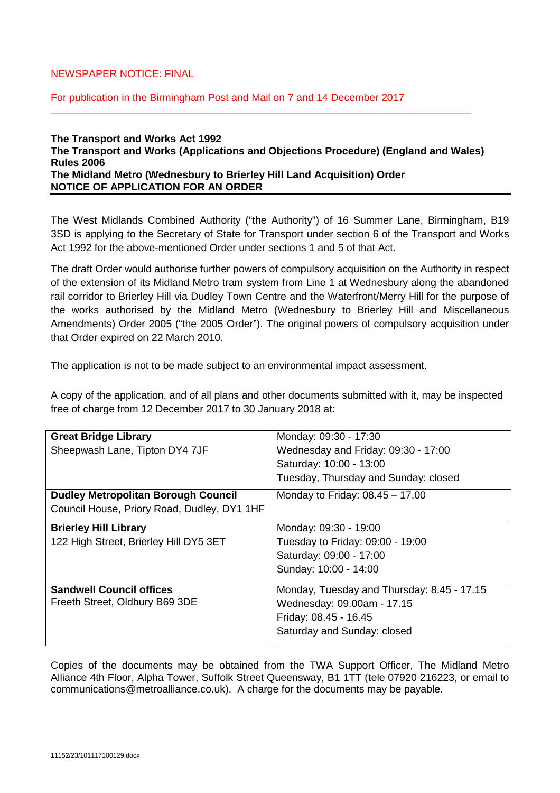# NEWSPAPER NOTICE: FINAL

For publication in the Birmingham Post and Mail on 7 and 14 December 2017

### **The Transport and Works Act 1992 The Transport and Works (Applications and Objections Procedure) (England and Wales) Rules 2006 The Midland Metro (Wednesbury to Brierley Hill Land Acquisition) Order NOTICE OF APPLICATION FOR AN ORDER**

**\_\_\_\_\_\_\_\_\_\_\_\_\_\_\_\_\_\_\_\_\_\_\_\_\_\_\_\_\_\_\_\_\_\_\_\_\_\_\_\_\_\_\_\_\_\_\_\_\_\_\_\_\_\_\_\_\_\_\_\_\_\_\_\_\_\_\_\_\_\_\_\_\_**

The West Midlands Combined Authority ("the Authority") of 16 Summer Lane, Birmingham, B19 3SD is applying to the Secretary of State for Transport under section 6 of the Transport and Works Act 1992 for the above-mentioned Order under sections 1 and 5 of that Act.

The draft Order would authorise further powers of compulsory acquisition on the Authority in respect of the extension of its Midland Metro tram system from Line 1 at Wednesbury along the abandoned rail corridor to Brierley Hill via Dudley Town Centre and the Waterfront/Merry Hill for the purpose of the works authorised by the Midland Metro (Wednesbury to Brierley Hill and Miscellaneous Amendments) Order 2005 ("the 2005 Order"). The original powers of compulsory acquisition under that Order expired on 22 March 2010.

The application is not to be made subject to an environmental impact assessment.

A copy of the application, and of all plans and other documents submitted with it, may be inspected free of charge from 12 December 2017 to 30 January 2018 at:

| <b>Great Bridge Library</b>                 | Monday: 09:30 - 17:30                      |
|---------------------------------------------|--------------------------------------------|
| Sheepwash Lane, Tipton DY4 7JF              | Wednesday and Friday: 09:30 - 17:00        |
|                                             | Saturday: 10:00 - 13:00                    |
|                                             | Tuesday, Thursday and Sunday: closed       |
| <b>Dudley Metropolitan Borough Council</b>  | Monday to Friday: $08.45 - 17.00$          |
| Council House, Priory Road, Dudley, DY1 1HF |                                            |
| <b>Brierley Hill Library</b>                | Monday: 09:30 - 19:00                      |
| 122 High Street, Brierley Hill DY5 3ET      | Tuesday to Friday: 09:00 - 19:00           |
|                                             | Saturday: 09:00 - 17:00                    |
|                                             | Sunday: 10:00 - 14:00                      |
| <b>Sandwell Council offices</b>             | Monday, Tuesday and Thursday: 8.45 - 17.15 |
| Freeth Street, Oldbury B69 3DE              | Wednesday: 09.00am - 17.15                 |
|                                             | Friday: 08.45 - 16.45                      |
|                                             | Saturday and Sunday: closed                |

Copies of the documents may be obtained from the TWA Support Officer, The Midland Metro Alliance 4th Floor, Alpha Tower, Suffolk Street Queensway, B1 1TT (tele 07920 216223, or email to communications@metroalliance.co.uk). A charge for the documents may be payable.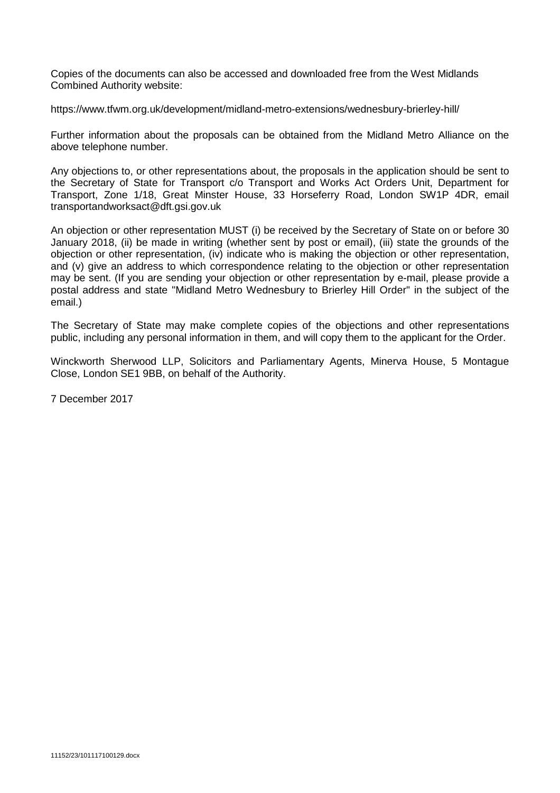Copies of the documents can also be accessed and downloaded free from the West Midlands Combined Authority website:

https://www.tfwm.org.uk/development/midland-metro-extensions/wednesbury-brierley-hill/

Further information about the proposals can be obtained from the Midland Metro Alliance on the above telephone number.

Any objections to, or other representations about, the proposals in the application should be sent to the Secretary of State for Transport c/o Transport and Works Act Orders Unit, Department for Transport, Zone 1/18, Great Minster House, 33 Horseferry Road, London SW1P 4DR, email transportandworksact@dft.gsi.gov.uk

An objection or other representation MUST (i) be received by the Secretary of State on or before 30 January 2018, (ii) be made in writing (whether sent by post or email), (iii) state the grounds of the objection or other representation, (iv) indicate who is making the objection or other representation, and (v) give an address to which correspondence relating to the objection or other representation may be sent. (If you are sending your objection or other representation by e-mail, please provide a postal address and state "Midland Metro Wednesbury to Brierley Hill Order" in the subject of the email.)

The Secretary of State may make complete copies of the objections and other representations public, including any personal information in them, and will copy them to the applicant for the Order.

Winckworth Sherwood LLP, Solicitors and Parliamentary Agents, Minerva House, 5 Montague Close, London SE1 9BB, on behalf of the Authority.

7 December 2017